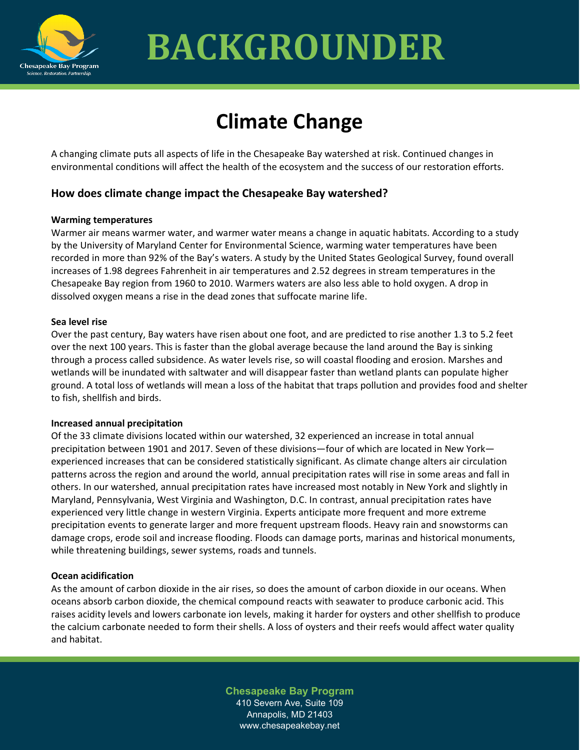

# **BACKGROUNDER**

## **Climate Change**

A changing climate puts all aspects of life in the Chesapeake Bay watershed at risk. Continued changes in environmental conditions will affect the health of the ecosystem and the success of our restoration efforts.

### **How does climate change impact the Chesapeake Bay watershed?**

#### **Warming temperatures**

Warmer air means warmer water, and warmer water means a change in aquatic habitats. According to a study by the University of Maryland Center for Environmental Science, warming water temperatures have been recorded in more than 92% of the Bay's waters. A study by the United States Geological Survey, found overall increases of 1.98 degrees Fahrenheit in air temperatures and 2.52 degrees in stream temperatures in the Chesapeake Bay region from 1960 to 2010. Warmers waters are also less able to hold oxygen. A drop in dissolved oxygen means a rise in the dead zones that suffocate marine life.

#### **Sea level rise**

Over the past century, Bay waters have risen about one foot, and are predicted to rise another 1.3 to 5.2 feet over the next 100 years. This is faster than the global average because the land around the Bay is sinking through a process called subsidence. As water levels rise, so will coastal flooding and erosion. Marshes and wetlands will be inundated with saltwater and will disappear faster than wetland plants can populate higher ground. A total loss of wetlands will mean a loss of the habitat that traps pollution and provides food and shelter to fish, shellfish and birds.

#### **Increased annual precipitation**

Of the 33 climate divisions located within our watershed, 32 experienced an increase in total annual precipitation between 1901 and 2017. Seven of these divisions—four of which are located in New York experienced increases that can be considered statistically significant. As climate change alters air circulation patterns across the region and around the world, annual precipitation rates will rise in some areas and fall in others. In our watershed, annual precipitation rates have increased most notably in New York and slightly in Maryland, Pennsylvania, West Virginia and Washington, D.C. In contrast, annual precipitation rates have experienced very little change in western Virginia. Experts anticipate more frequent and more extreme precipitation events to generate larger and more frequent upstream floods. Heavy rain and snowstorms can damage crops, erode soil and increase flooding. Floods can damage ports, marinas and historical monuments, while threatening buildings, sewer systems, roads and tunnels.

#### **Ocean acidification**

As the amount of carbon dioxide in the air rises, so does the amount of carbon dioxide in our oceans. When oceans absorb carbon dioxide, the chemical compound reacts with seawater to produce carbonic acid. This raises acidity levels and lowers carbonate ion levels, making it harder for oysters and other shellfish to produce the calcium carbonate needed to form their shells. A loss of oysters and their reefs would affect water quality and habitat.

> **Chesapeake Bay Program** 410 Severn Ave, Suite 109 Annapolis, MD 21403 www.chesapeakebay.net